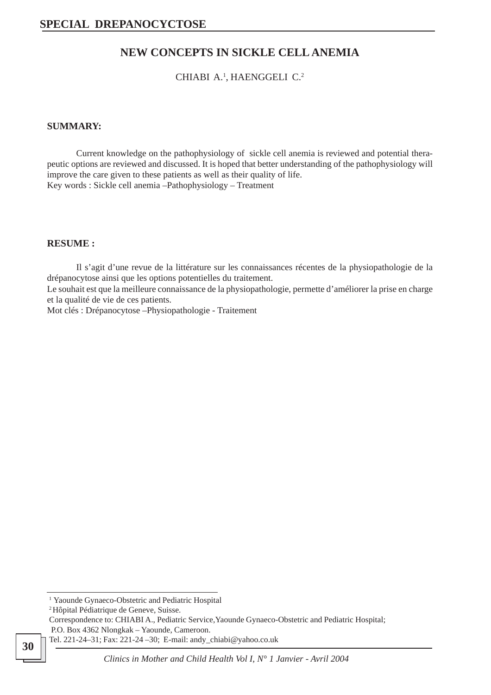## **NEW CONCEPTS IN SICKLE CELL ANEMIA**

CHIABI A.<sup>1</sup>, HAENGGELI C.<sup>2</sup>

### **SUMMARY:**

Current knowledge on the pathophysiology of sickle cell anemia is reviewed and potential therapeutic options are reviewed and discussed. It is hoped that better understanding of the pathophysiology will improve the care given to these patients as well as their quality of life. Key words : Sickle cell anemia –Pathophysiology – Treatment

#### **RESUME :**

Il s'agit d'une revue de la littérature sur les connaissances récentes de la physiopathologie de la drépanocytose ainsi que les options potentielles du traitement.

Le souhait est que la meilleure connaissance de la physiopathologie, permette d'améliorer la prise en charge et la qualité de vie de ces patients.

Mot clés : Drépanocytose –Physiopathologie - Traitement

<sup>&</sup>lt;sup>1</sup> Yaounde Gynaeco-Obstetric and Pediatric Hospital

<sup>2</sup> Hôpital Pédiatrique de Geneve, Suisse.

Correspondence to: CHIABI A., Pediatric Service,Yaounde Gynaeco-Obstetric and Pediatric Hospital; P.O. Box 4362 Nlongkak – Yaounde, Cameroon.

Tel. 221-24–31; Fax: 221-24 –30; E-mail: andy\_chiabi@yahoo.co.uk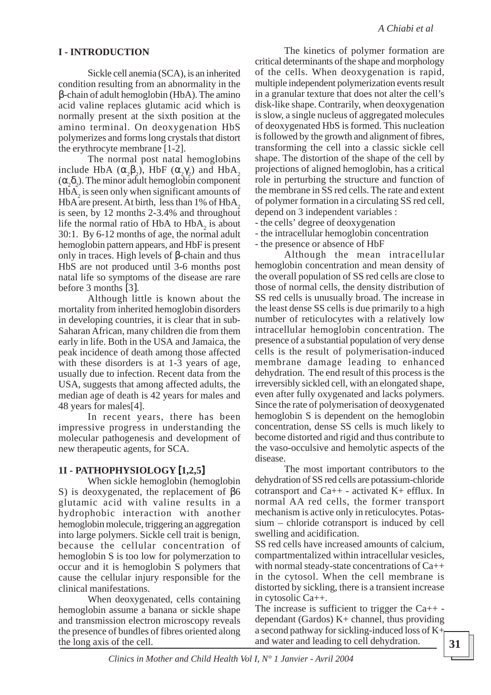## **I - INTRODUCTION**

Sickle cell anemia (SCA), is an inherited condition resulting from an abnormality in the β-chain of adult hemoglobin (HbA). The amino acid valine replaces glutamic acid which is normally present at the sixth position at the amino terminal. On deoxygenation HbS polymerizes and forms long crystals that distort the erythrocyte membrane [1-2].

The normal post natal hemoglobins include HbA  $(\alpha_2\beta_2)$ , HbF  $(\alpha_2\gamma_2)$  and HbA<sub>2</sub>  $(\alpha_2 \delta_2)$ . The minor adult hemoglobin component  $H\bar{b}A_2$  is seen only when significant amounts of HbA are present. At birth, less than 1% of HbA, is seen, by 12 months 2-3.4% and throughout life the normal ratio of HbA to  $HbA_2$  is about 30:1. By 6-12 months of age, the normal adult hemoglobin pattern appears, and HbF is present only in traces. High levels of β-chain and thus HbS are not produced until 3-6 months post natal life so symptoms of the disease are rare before 3 months [3].

Although little is known about the mortality from inherited hemoglobin disorders in developing countries, it is clear that in sub-Saharan African, many children die from them early in life. Both in the USA and Jamaica, the peak incidence of death among those affected with these disorders is at 1-3 years of age, usually due to infection. Recent data from the USA, suggests that among affected adults, the median age of death is 42 years for males and 48 years for males[4].

In recent years, there has been impressive progress in understanding the molecular pathogenesis and development of new therapeutic agents, for SCA.

### **1I - PATHOPHYSIOLOGY** [**1,2,5**]

When sickle hemoglobin (hemoglobin S) is deoxygenated, the replacement of β6 glutamic acid with valine results in a hydrophobic interaction with another hemoglobin molecule, triggering an aggregation into large polymers. Sickle cell trait is benign, because the cellular concentration of hemoglobin S is too low for polymerzation to occur and it is hemoglobin S polymers that cause the cellular injury responsible for the clinical manifestations.

When deoxygenated, cells containing hemoglobin assume a banana or sickle shape and transmission electron microscopy reveals the presence of bundles of fibres oriented along the long axis of the cell.

The kinetics of polymer formation are critical determinants of the shape and morphology of the cells. When deoxygenation is rapid, multiple independent polymerization events result in a granular texture that does not alter the cell's disk-like shape. Contrarily, when deoxygenation is slow, a single nucleus of aggregated molecules of deoxygenated HbS is formed. This nucleation is followed by the growth and alignment of fibres, transforming the cell into a classic sickle cell shape. The distortion of the shape of the cell by projections of aligned hemoglobin, has a critical role in perturbing the structure and function of the membrane in SS red cells. The rate and extent of polymer formation in a circulating SS red cell, depend on 3 independent variables :

- the cells' degree of deoxygenation

- the intracellular hemoglobin concentration

- the presence or absence of HbF

Although the mean intracellular hemoglobin concentration and mean density of the overall population of SS red cells are close to those of normal cells, the density distribution of SS red cells is unusually broad. The increase in the least dense SS cells is due primarily to a high number of reticulocytes with a relatively low intracellular hemoglobin concentration. The presence of a substantial population of very dense cells is the result of polymerisation-induced membrane damage leading to enhanced dehydration. The end result of this process is the irreversibly sickled cell, with an elongated shape, even after fully oxygenated and lacks polymers. Since the rate of polymerisation of deoxygenated hemoglobin S is dependent on the hemoglobin concentration, dense SS cells is much likely to become distorted and rigid and thus contribute to the vaso-occulsive and hemolytic aspects of the disease.

The most important contributors to the dehydration of SS red cells are potassium-chloride cotransport and Ca++ - activated K+ efflux. In normal AA red cells, the former transport mechanism is active only in reticulocytes. Potassium – chloride cotransport is induced by cell swelling and acidification.

SS red cells have increased amounts of calcium, compartmentalized within intracellular vesicles, with normal steady-state concentrations of Ca++ in the cytosol. When the cell membrane is distorted by sickling, there is a transient increase in cytosolic Ca++.

The increase is sufficient to trigger the  $Ca++$ dependant (Gardos) K+ channel, thus providing a second pathway for sickling-induced loss of  $K_{\uparrow}$ and water and leading to cell dehydration.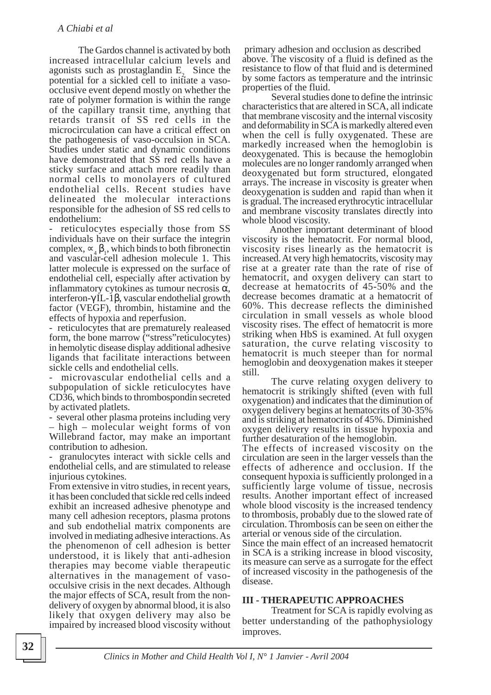The Gardos channel is activated by both increased intracellular calcium levels and agonists such as prostaglandin  $E<sub>2</sub>$ . Since the potential for a sickled cell to initiate a vasoocclusive event depend mostly on whether the rate of polymer formation is within the range of the capillary transit time, anything that retards transit of SS red cells in the microcirculation can have a critical effect on the pathogenesis of vaso-occulsion in SCA. Studies under static and dynamic conditions have demonstrated that SS red cells have a sticky surface and attach more readily than normal cells to monolayers of cultured endothelial cells. Recent studies have delineated the molecular interactions responsible for the adhesion of SS red cells to endothelium:

reticulocytes especially those from SS individuals have on their surface the integrin complex,  $\propto_4 \beta_1$ , which binds to both fibronecting and vascular-cell adhesion molecule 1. This latter molecule is expressed on the surface of endothelial cell, especially after activation by inflammatory cytokines as tumour necrosis  $\alpha$ , interferon-γ IL-1β, vascular endothelial growth factor (VEGF), thrombin, histamine and the effects of hypoxia and reperfusion.

- reticulocytes that are prematurely realeased form, the bone marrow ("stress"reticulocytes) in hemolytic disease display additional adhesive ligands that facilitate interactions between sickle cells and endothelial cells.

- microvascular endothelial cells and a subpopulation of sickle reticulocytes have CD36, which binds to thrombospondin secreted by activated platlets.

- several other plasma proteins including very – high – molecular weight forms of von Willebrand factor, may make an important contribution to adhesion.

- granulocytes interact with sickle cells and endothelial cells, and are stimulated to release injurious cytokines.

From extensive in vitro studies, in recent years, it has been concluded that sickle red cells indeed exhibit an increased adhesive phenotype and many cell adhesion receptors, plasma protons and sub endothelial matrix components are involved in mediating adhesive interactions. As the phenomenon of cell adhesion is better understood, it is likely that anti-adhesion therapies may become viable therapeutic alternatives in the management of vasoocculsive crisis in the next decades. Although the major effects of SCA, result from the nondelivery of oxygen by abnormal blood, it is also likely that oxygen delivery may also be impaired by increased blood viscosity without

 primary adhesion and occlusion as described above. The viscosity of a fluid is defined as the resistance to flow of that fluid and is determined by some factors as temperature and the intrinsic properties of the fluid.

Several studies done to define the intrinsic characteristics that are altered in SCA, all indicate that membrane viscosity and the internal viscosity and deformability in SCA is markedly altered even when the cell is fully oxygenated. These are markedly increased when the hemoglobin is deoxygenated. This is because the hemoglobin molecules are no longer randomly arranged when deoxygenated but form structured, elongated arrays. The increase in viscosity is greater when deoxygenation is sudden and rapid than when it is gradual. The increased erythrocytic intracellular and membrane viscosity translates directly into whole blood viscosity.

 Another important determinant of blood viscosity is the hematocrit. For normal blood, viscosity rises linearly as the hematocrit is increased. At very high hematocrits, viscosity may rise at a greater rate than the rate of rise of hematocrit, and oxygen delivery can start to decrease at hematocrits of 45-50% and the decrease becomes dramatic at a hematocrit of 60%. This decrease reflects the diminished circulation in small vessels as whole blood viscosity rises. The effect of hematocrit is more striking when HbS is examined. At full oxygen saturation, the curve relating viscosity to hematocrit is much steeper than for normal hemoglobin and deoxygenation makes it steeper still.

The curve relating oxygen delivery to hematocrit is strikingly shifted (even with full oxygenation) and indicates that the diminution of oxygen delivery begins at hematocrits of 30-35% and is striking at hematocrits of 45%. Diminished oxygen delivery results in tissue hypoxia and further desaturation of the hemoglobin.

The effects of increased viscosity on the circulation are seen in the larger vessels than the effects of adherence and occlusion. If the consequent hypoxia is sufficiently prolonged in a sufficiently large volume of tissue, necrosis results. Another important effect of increased whole blood viscosity is the increased tendency to thrombosis, probably due to the slowed rate of circulation. Thrombosis can be seen on either the arterial or venous side of the circulation.

Since the main effect of an increased hematocrit in SCA is a striking increase in blood viscosity, its measure can serve as a surrogate for the effect of increased viscosity in the pathogenesis of the disease.

#### **III - THERAPEUTIC APPROACHES**

Treatment for SCA is rapidly evolving as better understanding of the pathophysiology improves.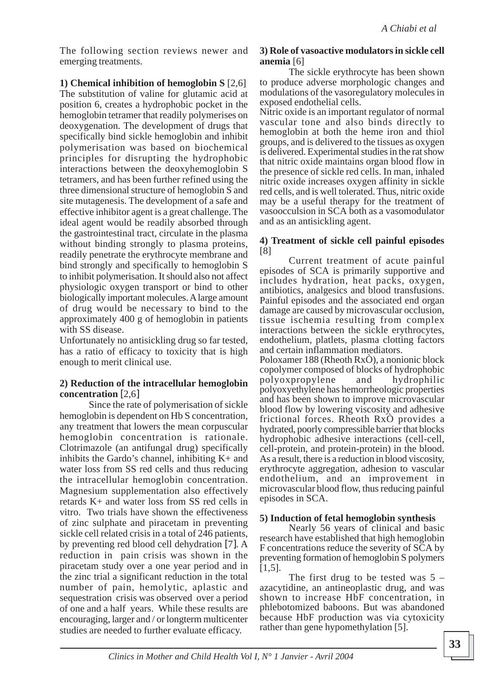The following section reviews newer and emerging treatments.

**1) Chemical inhibition of hemoglobin S** [2,6] The substitution of valine for glutamic acid at position 6, creates a hydrophobic pocket in the hemoglobin tetramer that readily polymerises on deoxygenation. The development of drugs that specifically bind sickle hemoglobin and inhibit polymerisation was based on biochemical principles for disrupting the hydrophobic interactions between the deoxyhemoglobin S tetramers, and has been further refined using the three dimensional structure of hemoglobin S and site mutagenesis. The development of a safe and effective inhibitor agent is a great challenge. The ideal agent would be readily absorbed through the gastrointestinal tract, circulate in the plasma without binding strongly to plasma proteins, readily penetrate the erythrocyte membrane and bind strongly and specifically to hemoglobin S to inhibit polymerisation. It should also not affect physiologic oxygen transport or bind to other biologically important molecules. A large amount of drug would be necessary to bind to the approximately 400 g of hemoglobin in patients with SS disease.

Unfortunately no antisickling drug so far tested, has a ratio of efficacy to toxicity that is high enough to merit clinical use.

#### **2) Reduction of the intracellular hemoglobin concentration** [2,6]

Since the rate of polymerisation of sickle hemoglobin is dependent on Hb S concentration, any treatment that lowers the mean corpuscular hemoglobin concentration is rationale. Clotrimazole (an antifungal drug) specifically inhibits the Gardo's channel, inhibiting  $K<sub>+</sub>$  and water loss from SS red cells and thus reducing the intracellular hemoglobin concentration. Magnesium supplementation also effectively retards K+ and water loss from SS red cells in vitro. Two trials have shown the effectiveness of zinc sulphate and piracetam in preventing sickle cell related crisis in a total of 246 patients, by preventing red blood cell dehydration [7]. A reduction in pain crisis was shown in the piracetam study over a one year period and in the zinc trial a significant reduction in the total number of pain, hemolytic, aplastic and sequestration crisis was observed over a period of one and a half years. While these results are encouraging, larger and / or longterm multicenter studies are needed to further evaluate efficacy.

### **3) Role of vasoactive modulators in sickle cell anemia** [6]

The sickle erythrocyte has been shown to produce adverse morphologic changes and modulations of the vasoregulatory molecules in exposed endothelial cells.

Nitric oxide is an important regulator of normal vascular tone and also binds directly to hemoglobin at both the heme iron and thiol groups, and is delivered to the tissues as oxygen is delivered. Experimental studies in the rat show that nitric oxide maintains organ blood flow in the presence of sickle red cells. In man, inhaled nitric oxide increases oxygen affinity in sickle red cells, and is well tolerated. Thus, nitric oxide may be a useful therapy for the treatment of vasoocculsion in SCA both as a vasomodulator and as an antisickling agent.

#### **4) Treatment of sickle cell painful episodes** [8]

Current treatment of acute painful episodes of SCA is primarily supportive and includes hydration, heat packs, oxygen, antibiotics, analgesics and blood transfusions. Painful episodes and the associated end organ damage are caused by microvascular occlusion, tissue ischemia resulting from complex interactions between the sickle erythrocytes, endothelium, platlets, plasma clotting factors and certain inflammation mediators.

Poloxamer 188 (Rheoth RxÒ), a nonionic block copolymer composed of blocks of hydrophobic polyoxpropylene and hydrophilic polyoxyethylene has hemorrheologic properties and has been shown to improve microvascular blood flow by lowering viscosity and adhesive frictional forces. Rheoth RxÒ provides a hydrated, poorly compressible barrier that blocks hydrophobic adhesive interactions (cell-cell, cell-protein, and protein-protein) in the blood. As a result, there is a reduction in blood viscosity, erythrocyte aggregation, adhesion to vascular endothelium, and an improvement in microvascular blood flow, thus reducing painful episodes in SCA.

### **5) Induction of fetal hemoglobin synthesis**

Nearly 56 years of clinical and basic research have established that high hemoglobin F concentrations reduce the severity of SCA by preventing formation of hemoglobin S polymers [1,5].

The first drug to be tested was  $5$ azacytidine, an antineoplastic drug, and was shown to increase HbF concentration, in phlebotomized baboons. But was abandoned because HbF production was via cytoxicity rather than gene hypomethylation [5].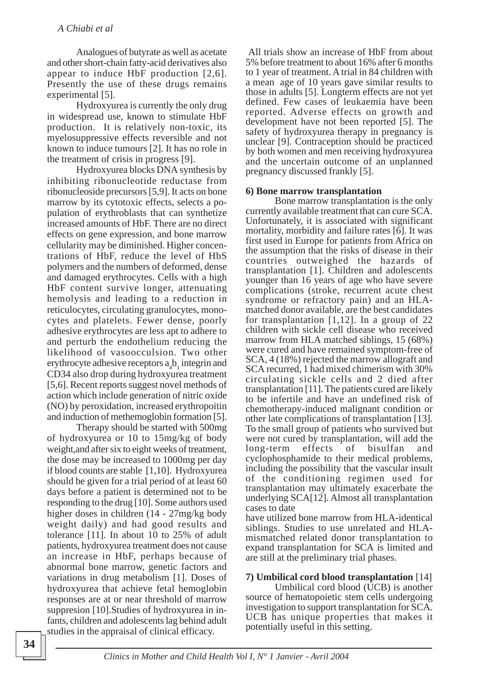Analogues of butyrate as well as acetate and other short-chain fatty-acid derivatives also appear to induce HbF production [2,6]. Presently the use of these drugs remains experimental [5].

Hydroxyurea is currently the only drug in widespread use, known to stimulate HbF production. It is relatively non-toxic, its myelosuppressive effects reversible and not known to induce tumours [2]. It has no role in the treatment of crisis in progress [9].

Hydroxyurea blocks DNA synthesis by inhibiting ribonucleotide reductase from ribonucleoside precursors [5,9]. It acts on bone marrow by its cytotoxic effects, selects a population of erythroblasts that can synthetize increased amounts of HbF. There are no direct effects on gene expression, and bone marrow cellularity may be diminished. Higher concentrations of HbF, reduce the level of HbS polymers and the numbers of deformed, dense and damaged erythrocytes. Cells with a high HbF content survive longer, attenuating hemolysis and leading to a reduction in reticulocytes, circulating granulocytes, monocytes and platelets. Fewer dense, poorly adhesive erythrocytes are less apt to adhere to and perturb the endothelium reducing the likelihood of vasoocculsion. Two other erythrocyte adhesive receptors  $a_4b_1$  integrin and CD34 also drop during hydroxyurea treatment [5,6]. Recent reports suggest novel methods of action which include generation of nitric oxide (NO) by peroxidation, increased erythropoitin and induction of methemoglobin formation [5].

Therapy should be started with 500mg of hydroxyurea or 10 to 15mg/kg of body weight,and after six to eight weeks of treatment, the dose may be increased to 1000mg per day if blood counts are stable [1,10]. Hydroxyurea should be given for a trial period of at least 60 days before a patient is determined not to be responding to the drug [10]. Some authors used higher doses in children (14 - 27mg/kg body weight daily) and had good results and tolerance [11]. In about 10 to 25% of adult patients, hydroxyurea treatment does not cause an increase in HbF, perhaps because of abnormal bone marrow, genetic factors and variations in drug metabolism [1]. Doses of hydroxyurea that achieve fetal hemoglobin responses are at or near threshold of marrow suppresion [10].Studies of hydroxyurea in infants, children and adolescents lag behind adult studies in the appraisal of clinical efficacy.

 All trials show an increase of HbF from about 5% before treatment to about 16% after 6 months to 1 year of treatment. A trial in 84 children with a mean age of 10 years gave similar results to those in adults [5]. Longterm effects are not yet defined. Few cases of leukaemia have been reported. Adverse effects on growth and development have not been reported [5]. The safety of hydroxyurea therapy in pregnancy is unclear [9]. Contraception should be practiced by both women and men receiving hydroxyurea and the uncertain outcome of an unplanned pregnancy discussed frankly [5].

#### **6) Bone marrow transplantation**

Bone marrow transplantation is the only currently available treatment that can cure SCA. Unfortunately, it is associated with significant mortality, morbidity and failure rates [6]. It was first used in Europe for patients from Africa on the assumption that the risks of disease in their countries outweighed the hazards of transplantation [1]. Children and adolescents younger than 16 years of age who have severe complications (stroke, recurrent acute chest syndrome or refractory pain) and an HLAmatched donor available, are the best candidates for transplantation [1,12]. In a group of 22 children with sickle cell disease who received marrow from HLA matched siblings, 15 (68%) were cured and have remained symptom-free of SCA, 4 (18%) rejected the marrow allograft and SCA recurred, 1 had mixed chimerism with 30% circulating sickle cells and 2 died after transplantation [11]. The patients cured are likely to be infertile and have an undefined risk of chemotherapy-induced malignant condition or other late complications of transplantation [13]. To the small group of patients who survived but were not cured by transplantation, will add the long-term effects of bisulfan and cyclophosphamide to their medical problems, including the possibility that the vascular insult of the conditioning regimen used for transplantation may ultimately exacerbate the underlying SCA[12]. Almost all transplantation cases to date

have utilized bone marrow from HLA-identical siblings. Studies to use unrelated and HLAmismatched related donor transplantation to expand transplantation for SCA is limited and are still at the preliminary trial phases.

### **7) Umbilical cord blood transplantation** [14]

Umbilical cord blood (UCB) is another source of hematopoietic stem cells undergoing investigation to support transplantation for SCA. UCB has unique properties that makes it potentially useful in this setting.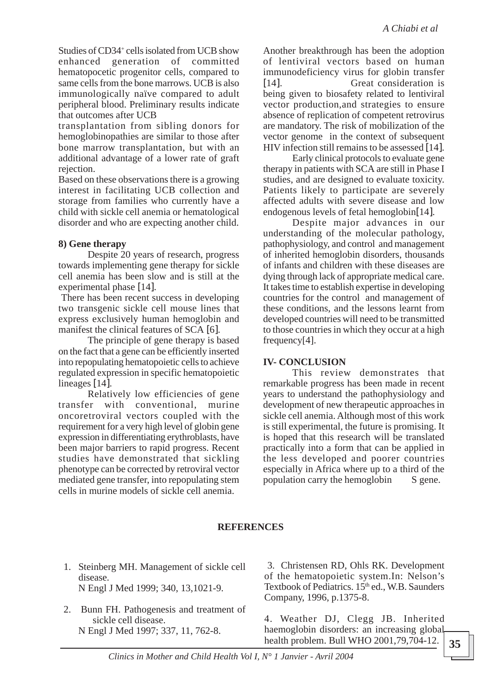Studies of CD34<sup>+</sup> cells isolated from UCB show enhanced generation of committed hematopocetic progenitor cells, compared to same cells from the bone marrows. UCB is also immunologically naïve compared to adult peripheral blood. Preliminary results indicate that outcomes after UCB

transplantation from sibling donors for hemoglobinopathies are similar to those after bone marrow transplantation, but with an additional advantage of a lower rate of graft rejection.

Based on these observations there is a growing interest in facilitating UCB collection and storage from families who currently have a child with sickle cell anemia or hematological disorder and who are expecting another child.

## **8) Gene therapy**

Despite 20 years of research, progress towards implementing gene therapy for sickle cell anemia has been slow and is still at the experimental phase [14].

 There has been recent success in developing two transgenic sickle cell mouse lines that express exclusively human hemoglobin and manifest the clinical features of SCA [6].

The principle of gene therapy is based on the fact that a gene can be efficiently inserted into repopulating hematopoietic cells to achieve regulated expression in specific hematopoietic lineages [14].

Relatively low efficiencies of gene transfer with conventional, murine oncoretroviral vectors coupled with the requirement for a very high level of globin gene expression in differentiating erythroblasts, have been major barriers to rapid progress. Recent studies have demonstrated that sickling phenotype can be corrected by retroviral vector mediated gene transfer, into repopulating stem cells in murine models of sickle cell anemia.

Another breakthrough has been the adoption of lentiviral vectors based on human immunodeficiency virus for globin transfer [14]. Great consideration is being given to biosafety related to lentiviral vector production,and strategies to ensure absence of replication of competent retrovirus are mandatory. The risk of mobilization of the vector genome in the context of subsequent HIV infection still remains to be assessed [14].

Early clinical protocols to evaluate gene therapy in patients with SCA are still in Phase I studies, and are designed to evaluate toxicity. Patients likely to participate are severely affected adults with severe disease and low endogenous levels of fetal hemoglobin[14].

Despite major advances in our understanding of the molecular pathology, pathophysiology, and control and management of inherited hemoglobin disorders, thousands of infants and children with these diseases are dying through lack of appropriate medical care. It takes time to establish expertise in developing countries for the control and management of these conditions, and the lessons learnt from developed countries will need to be transmitted to those countries in which they occur at a high frequency[4].

## **IV- CONCLUSION**

This review demonstrates that remarkable progress has been made in recent years to understand the pathophysiology and development of new therapeutic approaches in sickle cell anemia. Although most of this work is still experimental, the future is promising. It is hoped that this research will be translated practically into a form that can be applied in the less developed and poorer countries especially in Africa where up to a third of the population carry the hemoglobin S gene.

# **REFERENCES**

- 1. Steinberg MH. Management of sickle cell disease. N Engl J Med 1999; 340, 13,1021-9.
- 2. Bunn FH. Pathogenesis and treatment of sickle cell disease. N Engl J Med 1997; 337, 11, 762-8.

 3. Christensen RD, Ohls RK. Development of the hematopoietic system.In: Nelson's Textbook of Pediatrics. 15<sup>th</sup> ed., W.B. Saunders Company, 1996, p.1375-8.

4. Weather DJ, Clegg JB. Inherited haemoglobin disorders: an increasing global health problem. Bull WHO 2001,79,704-12.